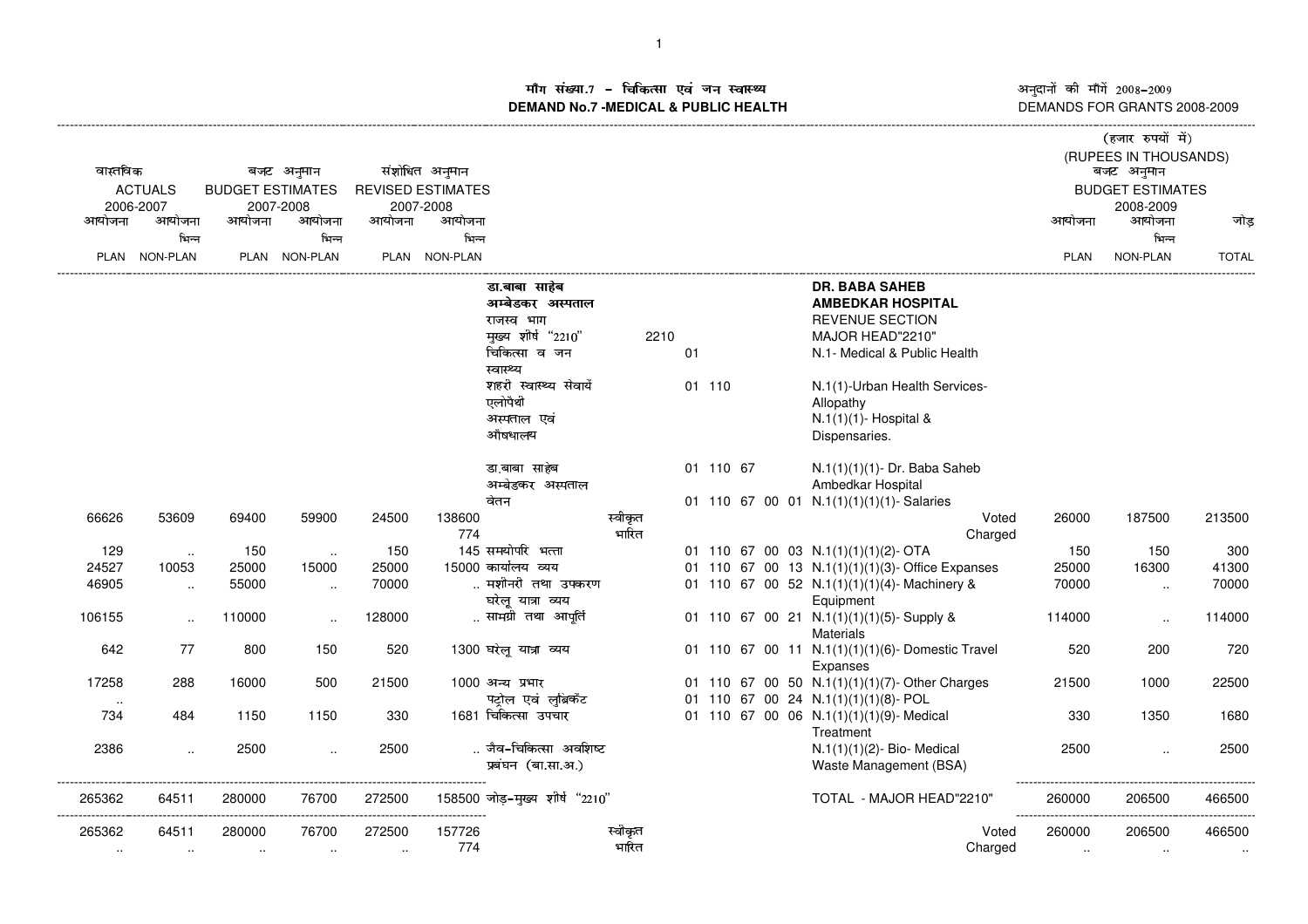म संख्या.7 – चिकित्सा एवं जन स्वास्थ्य<br>IAND No.7 -MEDICAL & DURLIC HEALTH **DEMAND No.7 -MEDICAL & PUBLIC HEALTH**

अनुदानों की माँगें 2008–2009<br>DEMANDS FOR GRANTS 2008-2009

|                |                 |                         |                      |                          |                |                                |                  |    |           |  |                                                  |                         | (हजार रुपयों में)     |              |
|----------------|-----------------|-------------------------|----------------------|--------------------------|----------------|--------------------------------|------------------|----|-----------|--|--------------------------------------------------|-------------------------|-----------------------|--------------|
|                |                 |                         |                      |                          |                |                                |                  |    |           |  |                                                  |                         | (RUPEES IN THOUSANDS) |              |
| वास्तविक       |                 |                         | बजट अनुमान           |                          | संशोधित अनुमान |                                |                  |    |           |  |                                                  |                         | बजट अनुमान            |              |
| <b>ACTUALS</b> |                 | <b>BUDGET ESTIMATES</b> |                      | <b>REVISED ESTIMATES</b> |                |                                |                  |    |           |  |                                                  | <b>BUDGET ESTIMATES</b> |                       |              |
|                | 2006-2007       |                         | 2007-2008            |                          | 2007-2008      |                                |                  |    |           |  |                                                  |                         | 2008-2009             |              |
| आयोजना         | आयोजना          | आयोजना                  | आयोजना               | आयोजना                   | आयोजना         |                                |                  |    |           |  |                                                  | आयोजना                  | आयोजना                | जोड          |
|                | भिन्न           |                         | भिन्न                |                          | भिन्न          |                                |                  |    |           |  |                                                  |                         | भिन्न                 |              |
|                | PLAN NON-PLAN   |                         | PLAN NON-PLAN        |                          | PLAN NON-PLAN  |                                |                  |    |           |  |                                                  | <b>PLAN</b>             | <b>NON-PLAN</b>       | <b>TOTAL</b> |
|                |                 |                         |                      |                          |                | डा.बाबा साहेब                  |                  |    |           |  | <b>DR. BABA SAHEB</b>                            |                         |                       |              |
|                |                 |                         |                      |                          |                | अम्बेडकर अस्पताल               |                  |    |           |  | <b>AMBEDKAR HOSPITAL</b>                         |                         |                       |              |
|                |                 |                         |                      |                          |                | राजस्व भाग                     |                  |    |           |  | <b>REVENUE SECTION</b>                           |                         |                       |              |
|                |                 |                         |                      |                          |                | मुख्य शीर्ष "2210"             | 2210             |    |           |  | MAJOR HEAD"2210"                                 |                         |                       |              |
|                |                 |                         |                      |                          |                | चिकित्सा व जन                  |                  | 01 |           |  | N.1- Medical & Public Health                     |                         |                       |              |
|                |                 |                         |                      |                          |                | स्वास्थ्य                      |                  |    |           |  |                                                  |                         |                       |              |
|                |                 |                         |                      |                          |                | शहरी स्वास्थ्य सेवायेँ         |                  |    | 01 110    |  | N.1(1)-Urban Health Services-                    |                         |                       |              |
|                |                 |                         |                      |                          |                | एलोपैथी                        |                  |    |           |  | Allopathy                                        |                         |                       |              |
|                |                 |                         |                      |                          |                | अस्पताल एवं                    |                  |    |           |  | N.1(1)(1)- Hospital &                            |                         |                       |              |
|                |                 |                         |                      |                          |                | औषधालय                         |                  |    |           |  | Dispensaries.                                    |                         |                       |              |
|                |                 |                         |                      |                          |                |                                |                  |    |           |  |                                                  |                         |                       |              |
|                |                 |                         |                      |                          |                | डा.बाबा साहेब                  |                  |    | 01 110 67 |  | N.1(1)(1)(1)- Dr. Baba Saheb                     |                         |                       |              |
|                |                 |                         |                      |                          |                | अम्बेडकर अस्पताल               |                  |    |           |  | Ambedkar Hospital                                |                         |                       |              |
|                |                 |                         |                      |                          |                | वेतन                           |                  |    |           |  | 01 110 67 00 01 N.1(1)(1)(1)(1)- Salaries        |                         |                       |              |
| 66626          | 53609           | 69400                   | 59900                | 24500                    | 138600<br>774  |                                | स्वीकृत<br>भारित |    |           |  | Voted                                            | 26000                   | 187500                | 213500       |
| 129            |                 | 150                     |                      | 150                      |                | 145 समयोपरि भत्ता              |                  |    |           |  | Charged<br>01 110 67 00 03 N.1(1)(1)(1)(2)-OTA   | 150                     | 150                   | 300          |
| 24527          | $\sim$<br>10053 | 25000                   | $\sim$<br>15000      | 25000                    |                | 15000 कार्यालय व्यय            |                  |    |           |  | 01 110 67 00 13 N.1(1)(1)(1)(3)- Office Expanses | 25000                   | 16300                 | 41300        |
| 46905          |                 | 55000                   |                      | 70000                    |                | मशीनरी तथा उपकरण               |                  |    |           |  | 01 110 67 00 52 N.1(1)(1)(1)(4)-Machinery &      | 70000                   |                       | 70000        |
|                | $\ldots$        |                         | $\ddot{\phantom{a}}$ |                          |                | घरेलू यात्रा व्यय              |                  |    |           |  | Equipment                                        |                         | $\sim$                |              |
| 106155         |                 | 110000                  |                      | 128000                   |                | सामग्री तथा आपूर्ति            |                  |    |           |  | 01 110 67 00 21 N.1(1)(1)(1)(5)-Supply &         | 114000                  |                       | 114000       |
|                | $\sim$          |                         | $\ddot{\phantom{a}}$ |                          |                |                                |                  |    |           |  | Materials                                        |                         | $\sim$                |              |
| 642            | 77              | 800                     | 150                  | 520                      |                | 1300 घरेलू यात्रा व्यय         |                  |    |           |  | 01 110 67 00 11 N.1(1)(1)(1)(6)- Domestic Travel | 520                     | 200                   | 720          |
|                |                 |                         |                      |                          |                |                                |                  |    |           |  | Expanses                                         |                         |                       |              |
| 17258          | 288             | 16000                   | 500                  | 21500                    |                | 1000 अन्य प्रभार               |                  |    |           |  | 01 110 67 00 50 N.1(1)(1)(1)(7)-Other Charges    | 21500                   | 1000                  | 22500        |
|                |                 |                         |                      |                          |                | पट्रोल एवं लुब्रिकेंट          |                  |    |           |  | 01 110 67 00 24 N.1(1)(1)(1)(8)- POL             |                         |                       |              |
| 734            | 484             | 1150                    | 1150                 | 330                      |                | 1681 चिकित्सा उपचार            |                  |    |           |  | 01 110 67 00 06 N.1(1)(1)(1)(9)- Medical         | 330                     | 1350                  | 1680         |
|                |                 |                         |                      |                          |                |                                |                  |    |           |  | Treatment                                        |                         |                       |              |
| 2386           | $\ddotsc$       | 2500                    | $\ddot{\phantom{a}}$ | 2500                     |                | जैव-चिकित्सा अवशिष्ट           |                  |    |           |  | $N.1(1)(1)(2)$ - Bio- Medical                    | 2500                    |                       | 2500         |
|                |                 |                         |                      |                          |                | प्रबंघन (बा.सा.अ.)             |                  |    |           |  | Waste Management (BSA)                           |                         |                       |              |
|                |                 |                         |                      |                          |                |                                |                  |    |           |  |                                                  |                         |                       |              |
| 265362         | 64511           | 280000                  | 76700                | 272500                   |                | 158500 जोड़-मुख्य शीर्ष "2210" |                  |    |           |  | TOTAL - MAJOR HEAD"2210"                         | 260000                  | 206500                | 466500       |
| 265362         | 64511           | 280000                  | 76700                | 272500                   | 157726         |                                | स्वीकृत          |    |           |  | Voted                                            | 260000                  | 206500                | 466500       |
| $\cdot$ .      | $\ldots$        | $\sim$                  | $\sim$               | $\ddotsc$                | 774            |                                | भारित            |    |           |  | Charged                                          | $\sim$                  | $\sim$                | $\cdot\cdot$ |
|                |                 |                         |                      |                          |                |                                |                  |    |           |  |                                                  |                         |                       |              |